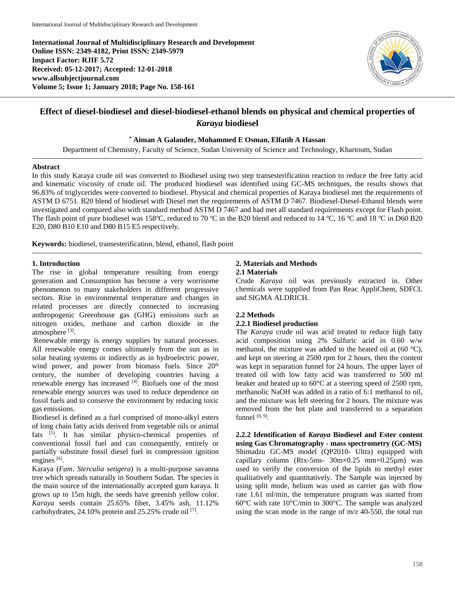**International Journal of Multidisciplinary Research and Development Online ISSN: 2349-4182, Print ISSN: 2349-5979 Impact Factor: RJIF 5.72 Received: 05-12-2017; Accepted: 12-01-2018 www.allsubjectjournal.com Volume 5; Issue 1; January 2018; Page No. 158-161**



# **Effect of diesel-biodiesel and diesel-biodiesel-ethanol blends on physical and chemical properties of**  *Karaya* **biodiesel**

**\* Aiman A Galander, Mohammed E Osman, Elfatih A Hassan**

Department of Chemistry, Faculty of Science, Sudan University of Science and Technology, Khartoum, Sudan

#### **Abstract**

In this study Karaya crude oil was converted to Biodiesel using two step transesterification reaction to reduce the free fatty acid and kinematic viscosity of crude oil. The produced biodiesel was identified using GC-MS techniques, the results shows that 96.83% of triglycerides were converted to biodiesel. Physical and chemical properties of Karaya biodiesel met the requirements of ASTM D 6751. B20 blend of biodiesel with Diesel met the requirements of ASTM D 7467. Biodiesel-Diesel-Ethanol blends were investigated and compared also with standard method ASTM D 7467 and had met all standard requirements except for Flash point. The flash point of pure biodiesel was 158°C, reduced to 70 °C in the B20 blend and reduced to 14 °C, 16 °C and 18 °C in D60 B20 E20, D80 B10 E10 and D80 B15 E5 respectively.

**Keywords:** biodiesel, transesterification, blend, ethanol, flash point

#### **1. Introduction**

The rise in global temperature resulting from energy generation and Consumption has become a very worrisome phenomenon to many stakeholders in different progressive sectors. Rise in environmental temperature and changes in related processes are directly connected to increasing anthropogenic Greenhouse gas (GHG) emissions such as nitrogen oxides, methane and carbon dioxide in the atmosphere [3].

Renewable energy is energy supplies by natural processes. All renewable energy comes ultimately from the sun as in solar heating systems or indirectly as in hydroelectric power, wind power, and power from biomass fuels. Since 20<sup>th</sup> century, the number of developing countries having a renewable energy has increased [4]. Biofuels one of the most renewable energy sources was used to reduce dependence on fossil fuels and to conserve the environment by reducing toxic gas emissions.

Biodiesel is defined as a fuel comprised of mono-alkyl esters of long chain fatty acids derived from vegetable oils or animal fats [5]. It has similar physico-chemical properties of conventional fossil fuel and can consequently, entirely or partially substitute fossil diesel fuel in compression ignition engines [6].

Karaya (*Fam*. *Sterculia setigera*) is a multi-purpose savanna tree which spreads naturally in Southern Sudan. The species is the main source of the internationally accepted gum karaya. It grows up to 15m high, the seeds have greenish yellow color. *Karaya* seeds contain 25.65% fiber, 3.45% ash, 11.12% carbohydrates, 24.10% protein and 25.25% crude oil [7].

#### **2. Materials and Methods 2.1 Materials**

Crude *Karaya* oil was previously extracted in. Other chemicals were supplied from Pan Reac AppliChem, SDFCL and SIGMA ALDRICH.

#### **2.2 Methods**

#### **2.2.1 Biodiesel production**

The *Karaya* crude oil was acid treated to reduce high fatty acid composition using 2% Sulfuric acid in 0.60 w/w methanol, the mixture was added to the heated oil at  $(60 \degree C)$ , and kept on steering at 2500 rpm for 2 hours, then the content was kept in separation funnel for 24 hours. The upper layer of treated oil with low fatty acid was transferred to 500 ml beaker and heated up to 60°C at a steering speed of 2500 rpm, methanolic NaOH was added in a ratio of 6:1 methanol to oil, and the mixture was left steering for 2 hours. The mixture was removed from the hot plate and transferred to a separation funnel [8, 9].

**2.2.2 Identification of** *Karaya* **Biodiesel and Ester content using Gas Chromatography - mass spectrometry (GC-MS)** Shimadzu GC-MS model (QP2010- Ultra) equipped with capillary column (Rtx-5ms-  $30m \times 0.25$  mm $\times 0.25 \mu$ m) was used to verify the conversion of the lipids to methyl ester qualitatively and quantitatively. The Sample was injected by using split mode, helium was used as carrier gas with flow rate 1.61 ml/min, the temperature program was started from 60°C with rate 10°C/min to 300°C. The sample was analyzed using the scan mode in the range of m/z 40-550, the total run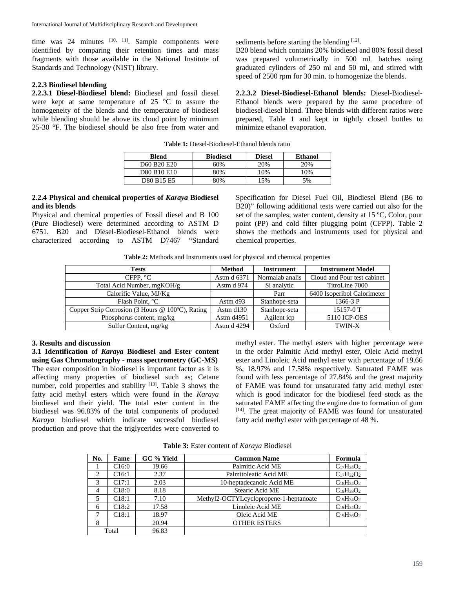time was  $24$  minutes  $[10, 11]$ . Sample components were identified by comparing their retention times and mass fragments with those available in the National Institute of Standards and Technology (NIST) library.

#### **2.2.3 Biodiesel blending**

**2.2.3.1 Diesel-Biodiesel blend:** Biodiesel and fossil diesel were kept at same temperature of 25 °C to assure the homogeneity of the blends and the temperature of biodiesel while blending should be above its cloud point by minimum 25-30 °F. The biodiesel should be also free from water and sediments before starting the blending [12].

B20 blend which contains 20% biodiesel and 80% fossil diesel was prepared volumetrically in 500 mL batches using graduated cylinders of 250 ml and 50 ml, and stirred with speed of 2500 rpm for 30 min. to homogenize the blends.

**2.2.3.2 Diesel-Biodiesel-Ethanol blends:** Diesel-Biodiesel-Ethanol blends were prepared by the same procedure of biodiesel-diesel blend. Three blends with different ratios were prepared, Table 1 and kept in tightly closed bottles to minimize ethanol evaporation.

| <b>Table 1:</b> Diesel-Biodiesel-Ethanol blends ratio |
|-------------------------------------------------------|
|-------------------------------------------------------|

| <b>Blend</b> | <b>Biodiesel</b> | <b>Diesel</b> | Ethanol |
|--------------|------------------|---------------|---------|
| D60 B20 E20  | 60%              | 20%           | 20%     |
| D80 B10 E10  | 80%              | 10%           | 10%     |
| D80 B15 E5   | 80%              | .5%           | 5%      |

#### **2.2.4 Physical and chemical properties of** *Karaya* **Biodiesel and its blends**

Physical and chemical properties of Fossil diesel and B 100 (Pure Biodiesel) were determined according to ASTM D 6751. B20 and Diesel-Biodiesel-Ethanol blends were characterized according to ASTM D7467 "Standard Specification for Diesel Fuel Oil, Biodiesel Blend (B6 to B20)" following additional tests were carried out also for the set of the samples; water content, density at 15 ºC, Color, pour point (PP) and cold filter plugging point (CFPP). Table 2 shows the methods and instruments used for physical and chemical properties.

**Table 2:** Methods and Instruments used for physical and chemical properties

| <b>Tests</b>                                     | <b>Method</b>          | <b>Instrument</b> | <b>Imstrument Model</b>     |
|--------------------------------------------------|------------------------|-------------------|-----------------------------|
| CFPP, $^{\circ}$ C                               | Astm d 6371            | Normalab analis   | Cloud and Pour test cabinet |
| Total Acid Number, mgKOH/g                       | Astm d 974             | Si analytic       | TitroLine 7000              |
| Calorific Value, MJ/Kg                           |                        | Parr              | 6400 Isoperibol Calorimeter |
| Flash Point, °C                                  | Astm d <sub>93</sub>   | Stanhope-seta     | $1366 - 3P$                 |
| Copper Strip Corrosion (3 Hours @ 100°C), Rating | Astm d <sub>130</sub>  | Stanhope-seta     | $15157 - 0$ T               |
| Phosphorus content, mg/kg                        | Astm d <sub>4951</sub> | Agilent icp       | 5110 ICP-OES                |
| Sulfur Content, mg/kg                            | Astm d 4294            | Oxford            | TWIN-X                      |

#### **3. Results and discussion**

**3.1 Identification of** *Karaya* **Biodiesel and Ester content using Gas Chromatography - mass spectrometry (GC-MS)** The ester composition in biodiesel is important factor as it is affecting many properties of biodiesel such as; Cetane number, cold properties and stability [13]. Table 3 shows the fatty acid methyl esters which were found in the *Karaya* biodiesel and their yield. The total ester content in the biodiesel was 96.83% of the total components of produced *Karaya* biodiesel which indicate successful biodiesel production and prove that the triglycerides were converted to methyl ester. The methyl esters with higher percentage were in the order Palmitic Acid methyl ester, Oleic Acid methyl ester and Linoleic Acid methyl ester with percentage of 19.66 %, 18.97% and 17.58% respectively. Saturated FAME was found with less percentage of 27.84% and the great majority of FAME was found for unsaturated fatty acid methyl ester which is good indicator for the biodiesel feed stock as the saturated FAME affecting the engine due to formation of gum [14]. The great majority of FAME was found for unsaturated fatty acid methyl ester with percentage of 48 %.

**Table 3:** Ester content of *Karaya* Biodiesel

| No. | Fame              | GC % Yield | <b>Common Name</b>                     | Formula           |
|-----|-------------------|------------|----------------------------------------|-------------------|
|     | C16:0             | 19.66      | Palmitic Acid ME                       | $C_{17}H_{34}O_2$ |
| 2   | C <sub>16:1</sub> | 2.37       | Palmitoleatic Acid ME                  | $C_{17}H_{32}O_2$ |
| 3   | C17:1             | 2.03       | 10-heptadecanoic Acid ME               | $C_{18}H_{34}O_2$ |
| 4   | C18:0             | 8.18       | Stearic Acid ME                        | $C_{19}H_{38}O_2$ |
| 5   | C18:1             | 7.10       | Methyl2-OCTYLcyclopropene-1-heptanoate | $C_{19}H_{34}O_2$ |
| 6   | C <sub>18:2</sub> | 17.58      | Linoleic Acid ME                       | $C_{19}H_{34}O_2$ |
| 7   | C18:1             | 18.97      | Oleic Acid ME                          | $C_{19}H_{36}O_2$ |
| 8   |                   | 20.94      | <b>OTHER ESTERS</b>                    |                   |
|     | Total             | 96.83      |                                        |                   |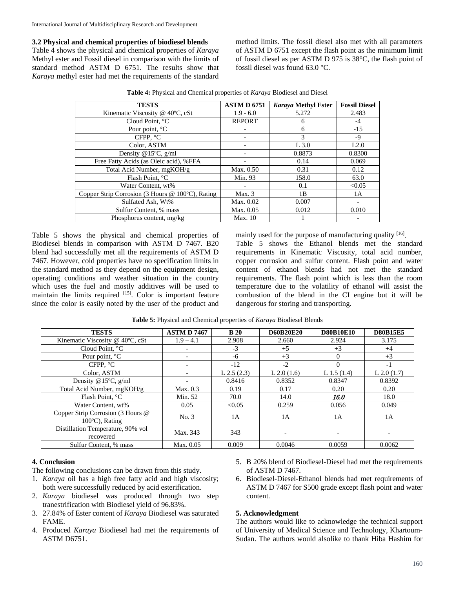## **3.2 Physical and chemical properties of biodiesel blends**

Table 4 shows the physical and chemical properties of *Karaya* Methyl ester and Fossil diesel in comparison with the limits of standard method ASTM D 6751. The results show that *Karaya* methyl ester had met the requirements of the standard

method limits. The fossil diesel also met with all parameters of ASTM D 6751 except the flash point as the minimum limit of fossil diesel as per ASTM D 975 is 38°C, the flash point of fossil diesel was found 63.0 °C.

| <b>TESTS</b>                                     | <b>ASTM D 6751</b> | Karaya Methyl Ester | <b>Fossil Diesel</b> |
|--------------------------------------------------|--------------------|---------------------|----------------------|
| Kinematic Viscosity @ 40°C, cSt                  | $1.9 - 6.0$        | 5.272               | 2.483                |
| Cloud Point, °C                                  | <b>REPORT</b>      | 6                   | -4                   |
| Pour point, <sup>o</sup> C                       |                    | 6                   | $-15$                |
| CFPP. $^{\circ}$ C                               |                    | 3                   | -9                   |
| Color, ASTM                                      |                    | $L$ 3.0             | L2.0                 |
| Density @15 $\degree$ C, g/ml                    |                    | 0.8873              | 0.8300               |
| Free Fatty Acids (as Oleic acid), %FFA           |                    | 0.14                | 0.069                |
| Total Acid Number, mgKOH/g                       | Max. 0.50          | 0.31                | 0.12                 |
| Flash Point, °C                                  | Min. 93            | 158.0               | 63.0                 |
| Water Content, wt%                               |                    | 0.1                 | < 0.05               |
| Copper Strip Corrosion (3 Hours @ 100°C), Rating | Max.3              | 1B                  | 1A                   |
| Sulfated Ash, Wt%                                | Max. 0.02          | 0.007               |                      |
| Sulfur Content, % mass                           | Max. 0.05          | 0.012               | 0.010                |
| Phosphorus content, mg/kg                        | Max. 10            |                     |                      |

**Table 4:** Physical and Chemical properties of *Karaya* Biodiesel and Diesel

Table 5 shows the physical and chemical properties of Biodiesel blends in comparison with ASTM D 7467. B20 blend had successfully met all the requirements of ASTM D 7467. However, cold properties have no specification limits in the standard method as they depend on the equipment design, operating conditions and weather situation in the country which uses the fuel and mostly additives will be used to maintain the limits required  $[15]$ . Color is important feature since the color is easily noted by the user of the product and mainly used for the purpose of manufacturing quality <sup>[16]</sup>. Table 5 shows the Ethanol blends met the standard requirements in Kinematic Viscosity, total acid number, copper corrosion and sulfur content. Flash point and water content of ethanol blends had not met the standard requirements. The flash point which is less than the room temperature due to the volatility of ethanol will assist the combustion of the blend in the CI engine but it will be dangerous for storing and transporting.

| <b>TESTS</b>                                        | <b>ASTMD7467</b> | <b>B</b> 20  | <b>D60B20E20</b> | <b>D80B10E10</b> | <b>D80B15E5</b> |
|-----------------------------------------------------|------------------|--------------|------------------|------------------|-----------------|
| Kinematic Viscosity @ 40°C, cSt                     | $1.9 - 4.1$      | 2.908        | 2.660            | 2.924            | 3.175           |
| Cloud Point. °C                                     | -                | $-3$         | $+5$             | $+3$             | $+4$            |
| Pour point, °C                                      |                  | -6           | $+3$             | $\Omega$         | $+3$            |
| CFPP. $\degree$ C                                   |                  | $-12$        | $-2$             | 0                | $-1$            |
| Color, ASTM                                         |                  | L $2.5(2.3)$ | L 2.0 $(1.6)$    | L 1.5 $(1.4)$    | L 2.0(1.7)      |
| Density @15 $^{\circ}$ C, g/ml                      |                  | 0.8416       | 0.8352           | 0.8347           | 0.8392          |
| Total Acid Number, mgKOH/g                          | Max. 0.3         | 0.19         | 0.17             | 0.20             | 0.20            |
| Flash Point. °C                                     | Min. 52          | 70.0         | 14.0             | 16.0             | 18.0            |
| Water Content, wt%                                  | 0.05             | < 0.05       | 0.259            | 0.056            | 0.049           |
| Copper Strip Corrosion (3 Hours @<br>100°C), Rating | No. 3            | 1A           | 1A               | 1A               | 1A              |
| Distillation Temperature, 90% vol<br>recovered      | Max. 343         | 343          |                  | -                |                 |
| Sulfur Content, % mass                              | Max. 0.05        | 0.009        | 0.0046           | 0.0059           | 0.0062          |

**Table 5:** Physical and Chemical properties of *Karaya* Biodiesel Blends

## **4. Conclusion**

The following conclusions can be drawn from this study.

- 1. *Karaya* oil has a high free fatty acid and high viscosity; both were successfully reduced by acid esterification.
- 2. *Karaya* biodiesel was produced through two step tranestrification with Biodiesel yield of 96.83%.
- 3. 27.84% of Ester content of *Karaya* Biodiesel was saturated FAME.
- 4. Produced *Karaya* Biodiesel had met the requirements of ASTM D6751.
- 5. B 20% blend of Biodiesel-Diesel had met the requirements of ASTM D 7467.
- 6. Biodiesel-Diesel-Ethanol blends had met requirements of ASTM D 7467 for S500 grade except flash point and water content.

#### **5. Acknowledgment**

The authors would like to acknowledge the technical support of University of Medical Science and Technology, Khartoum-Sudan. The authors would alsolike to thank Hiba Hashim for